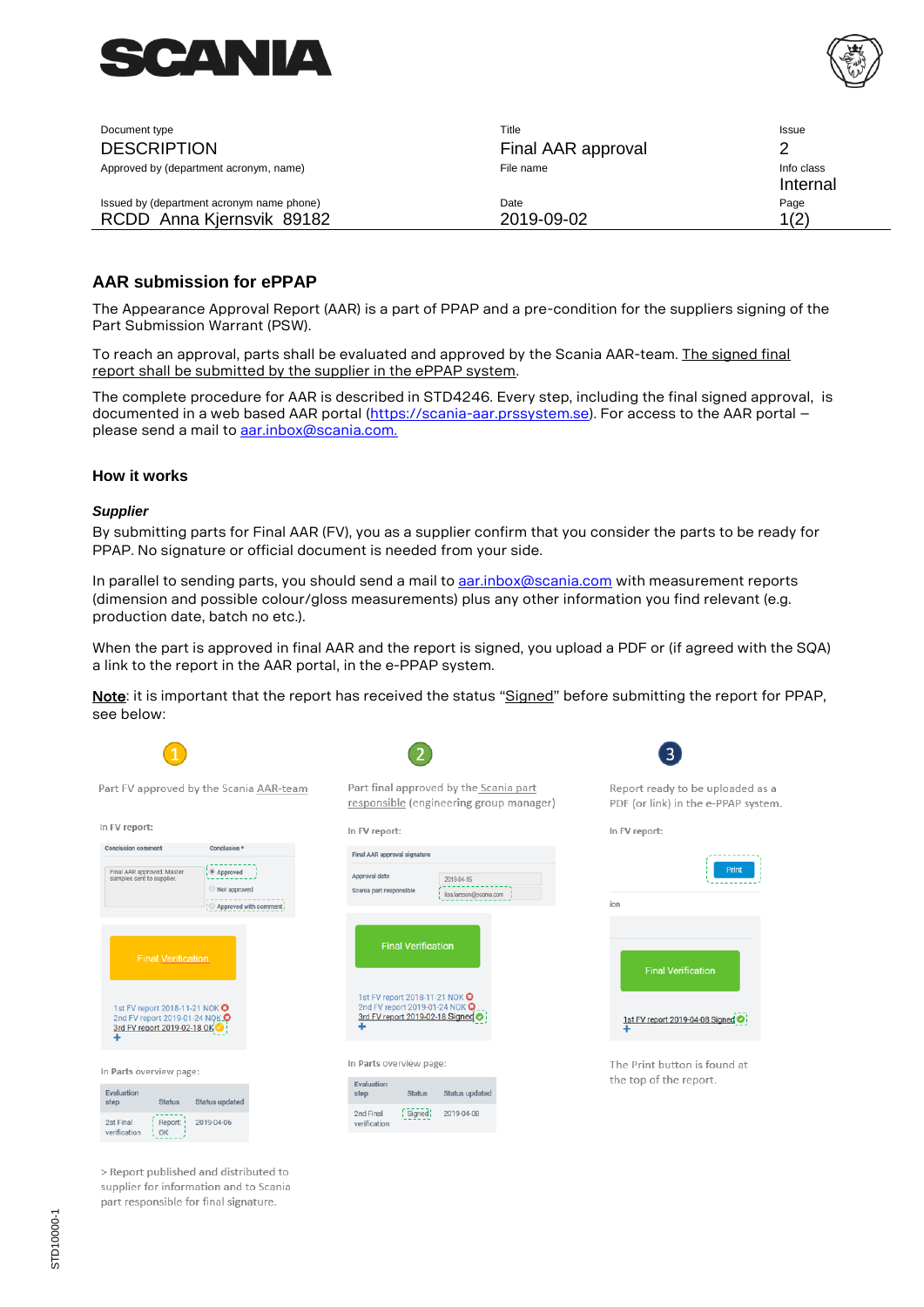



| Document type                                                          | Title              | Issue                  |
|------------------------------------------------------------------------|--------------------|------------------------|
| <b>DESCRIPTION</b>                                                     | Final AAR approval |                        |
| Approved by (department acronym, name)                                 | File name          | Info class<br>Internal |
| Issued by (department acronym name phone)<br>RCDD Anna Kjernsvik 89182 | Date<br>2019-09-02 | Page<br>1(2)           |

# **AAR submission for ePPAP**

The Appearance Approval Report (AAR) is a part of PPAP and a pre-condition for the suppliers signing of the Part Submission Warrant (PSW).

To reach an approval, parts shall be evaluated and approved by the Scania AAR-team. The signed final report shall be submitted by the supplier in the ePPAP system.

The complete procedure for AAR is described in STD4246. Every step, including the final signed approval, is documented in a web based AAR portal [\(https://scania-aar.prssystem.se\)](https://scania-aar.prssystem.se/). For access to the AAR portal please send a mail to **aar.inbox@scania.com.** 

### **How it works**

#### *Supplier*

By submitting parts for Final AAR (FV), you as a supplier confirm that you consider the parts to be ready for PPAP. No signature or official document is needed from your side.

In parallel to sending parts, you should send a mail to **aar.inbox@scania.com** with measurement reports (dimension and possible colour/gloss measurements) plus any other information you find relevant (e.g. production date, batch no etc.).

When the part is approved in final AAR and the report is signed, you upload a PDF or (if agreed with the SQA) a link to the report in the AAR portal, in the e-PPAP system.

Note: it is important that the report has received the status "Signed" before submitting the report for PPAP, see below:

 $\overline{\phantom{a}}$ 

| Part FV approved by the Scania AAR-team                                                                     |                                       |  | Pa                  |
|-------------------------------------------------------------------------------------------------------------|---------------------------------------|--|---------------------|
|                                                                                                             |                                       |  | re                  |
| In FV report:                                                                                               |                                       |  | In.                 |
| <b>Conclusion comment</b>                                                                                   | Conclusion *                          |  | Fir                 |
| Final AAR approved. Master<br>samples sent to supplier.                                                     | · Approved                            |  | Ap                  |
|                                                                                                             | Not approved<br>Approved with comment |  | Sc                  |
|                                                                                                             |                                       |  |                     |
| <b>Final Verification</b>                                                                                   |                                       |  |                     |
| 1st FV report 2018-11-21 NOK $\Theta$<br>2nd FV report 2019-01-24 NQK O<br>3rd FV report 2019-02-18 OK<br>٠ |                                       |  |                     |
| In Parts overview page:                                                                                     |                                       |  | In.                 |
| Evaluation<br><b>Status</b><br>step                                                                         | Status updated                        |  | E<br>$\mathbf{s}$   |
| 2st Final<br>Report: !<br>verification<br>OK                                                                | 2019-04-06                            |  | $\overline{2}$<br>V |

> Report published and distributed to supplier for information and to Scania part responsible for final signature.

| Part final approved by the Scania part<br>responsible (engineering group manager)                          |               |                                       |  |
|------------------------------------------------------------------------------------------------------------|---------------|---------------------------------------|--|
| In FV report:                                                                                              |               |                                       |  |
| Final AAR approval signature                                                                               |               |                                       |  |
| Approval date<br>Scania part responsible                                                                   |               | 2019-04-15<br>lisa.larsson@scania.com |  |
| <b>Final Verification</b>                                                                                  |               |                                       |  |
| 1st FV report 2018-11-21 NOK O<br>2nd FV report 2019-01-24 NOK O<br>3rd FV report 2019-02-18 Signed o<br>٠ |               |                                       |  |
| In Parts overview page:                                                                                    |               |                                       |  |
| Evaluation<br>step                                                                                         | <b>Status</b> | Status updated                        |  |
| 2nd Final<br>verification                                                                                  | Signed        | 2019-04-08                            |  |
|                                                                                                            |               |                                       |  |

Report ready to be uploaded as a PDF (or link) in the e-PPAP system.

In FV report:



The Print button is found at the top of the report.